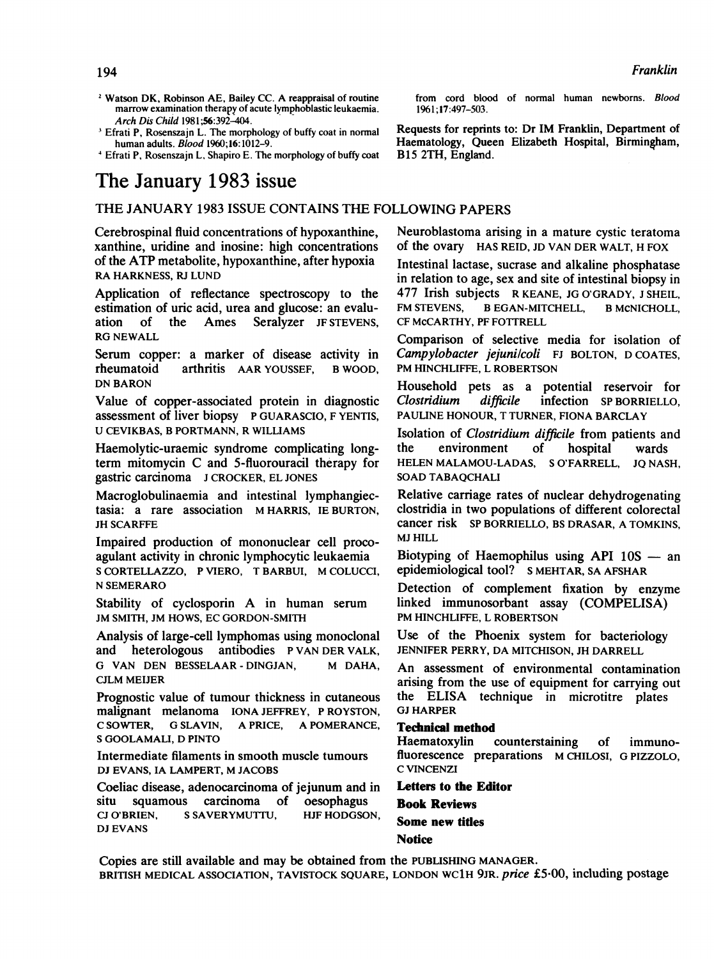- <sup>2</sup> Watson DK, Robinson AE, Bailey CC. A reappraisal of routine marrow examination therapy of acute lymphoblastic leukaemia. Arch Dis Child 1981;56:392-404.
- <sup>3</sup> Efrati P, Rosenszajn L. The morphology of buffy coat in normal human adults. Blood 1960;16:1012-9.
- <sup>4</sup> Efrati P, Rosenszajn L, Shapiro E. The morphology of buffy coat

# The January 1983 issue

### THE JANUARY <sup>1983</sup> ISSUE CONTAINS THE FOLLOWING PAPERS

Cerebrospinal fluid concentrations of hypoxanthine, xanthine, uridine and inosine: high concentrations of the ATP metabolite, hypoxanthine, after hypoxia RA HARKNESS, RJ LUND

Application of reflectance spectroscopy to the estimation of uric acid, urea and glucose: an evaluation of the Ames Seralyzer JF STEVENS. ation of the Ames Seralyzer JF STEVENS, RG NEWALL

Serum copper: a marker of disease activity in rheumatoid arthritis AAR YOUSSEF, B WOOD, DN BARON

Value of copper-associated protein in diagnostic assessment of liver biopsy P GUARASCIO, F YENTIS, U CEVIKBAS, B PORTMANN, R WILLIAMS

Haemolytic-uraemic syndrome complicating longterm mitomycin C and 5-fluorouracil therapy for gastric carcinoma <sup>J</sup> CROCKER, EL JONES

Macroglobulinaemia and intestinal lymphangiectasia: <sup>a</sup> rare association M HARRIS, IE BURTON, JH SCARFFE

Impaired production of mononuclear cell procoagulant activity in chronic lymphocytic leukaemia <sup>S</sup> CORTELLAZZO, <sup>P</sup> VIERO, T BARBUI, M COLUCCI, N SEMERARO

Stability of cyclosporin A in human serum JM SMITH, JM HOWS, EC GORDON-SMITH

Analysis of large-cell lymphomas using monoclonal and heterologous antibodies P VAN DER VALK, G VAN DEN BESSELAAR - DINGJAN, M DAHA, CJLM MEIJER

Prognostic value of tumour thickness in cutaneous malignant melanoma IONA JEFFREY, P ROYSTON, C SOWTER, G SLAVIN, A PRICE, A POMERANCE, <sup>S</sup> GOOLAMALI, D PINTO

Intermediate filaments in smooth muscle tumours DJ EVANS, IA LAMPERT, M JACOBS

Coeliac disease, adenocarcinoma of jejunum and in situ squamous carcinoma of oesophagus<br>CJO'BRIEN. SSAVERYMUTTU. HJF-HODGSON. CJ O'BRIEN, S SAVERYMUTTU, DJ EVANS

from cord blood of nornal human newborns. Blood 1961; 17:497-503.

Requests for reprints to: Dr IM Franklin, Department of Haematology, Queen Elizabeth Hospital, Birmingham, B15 2TH, England.

Neuroblastoma arising in a mature cystic teratoma of the ovary HAS REID, JD VAN DER WALT, H FOX

Intestinal lactase, sucrase and alkaline phosphatase in relation to age, sex and site of intestinal biopsy in 477 Irish subjects R KEANE, JG O'GRADY, <sup>J</sup> SHEIL, FM STEVENS, B EGAN-MITCHELL, B MCNICHOLL, CF McCARTHY, PF FOTTRELL

Comparison of selective media for isolation of Campylobacter jejuni/coli FJ BOLTON, D COATES, PM HINCHLIFFE, L ROBERTSON

Household pets as a potential reservoir for Clostridium difficile infection SP BORRIELLO, PAULINE HONOUR, T TURNER, FIONA BARCLAY

Isolation of Clostridium difficile from patients and the environment of hospital wards HELEN MALAMOU-LADAS, <sup>S</sup> O'FARRELL, JQ NASH, SOAD TABAQCHALI

Relative carriage rates of nuclear dehydrogenating clostridia in two populations of different colorectal cancer risk SP BORRIELLO, BS DRASAR, A TOMKINS, MJ HILL

Biotyping of Haemophilus using API  $10S$  — an epidemiological tool? <sup>S</sup> MEHTAR, SA AFSHAR

Detection of complement fixation by enzyme linked immunosorbant assay (COMPELISA) PM HINCHLIFFE, L ROBERTSON

Use of the Phoenix system for bacteriology JENNIFER PERRY, DA MITCHISON, JH DARRELL

An assessment of environmental contamination arising from the use of equipment for carrying out the ELISA technique in microtitre plates GJ HARPER

### Technical method

Haematoxylin counterstaining of immunofluorescence preparations M CHILOSI, G PIZZOLO, C VINCENZI

Letters to the Editor Book Reviews Some new titles **Notice** 

Copies are still available and may be obtained from the PUBLISHING MANAGER. BRITISH MEDICAL ASSOCIATION, TAVISTOCK SQUARE, LONDON WC1H 9JR. price £5.00, including postage